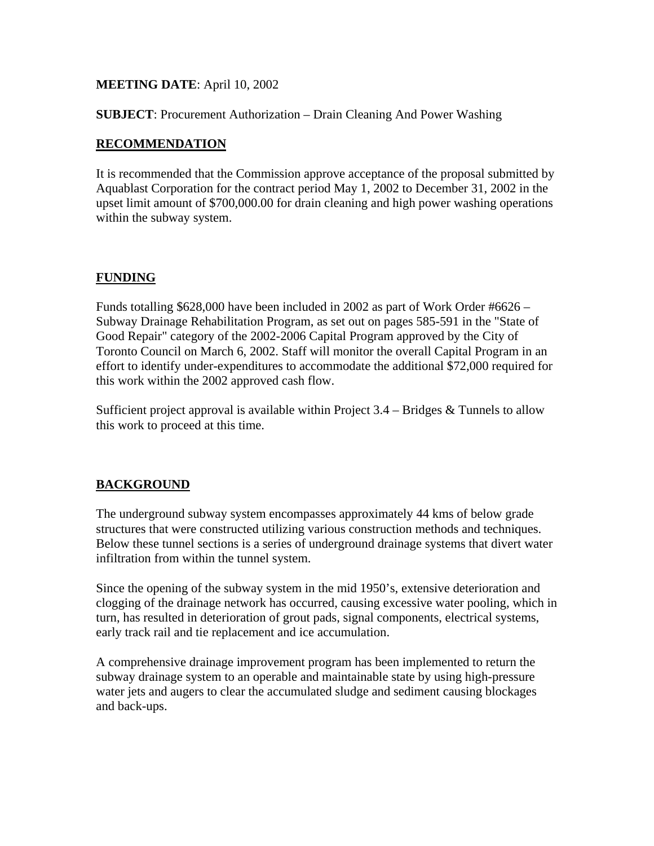#### **MEETING DATE**: April 10, 2002

**SUBJECT**: Procurement Authorization – Drain Cleaning And Power Washing

### **RECOMMENDATION**

It is recommended that the Commission approve acceptance of the proposal submitted by Aquablast Corporation for the contract period May 1, 2002 to December 31, 2002 in the upset limit amount of \$700,000.00 for drain cleaning and high power washing operations within the subway system.

### **FUNDING**

Funds totalling \$628,000 have been included in 2002 as part of Work Order #6626 – Subway Drainage Rehabilitation Program, as set out on pages 585-591 in the "State of Good Repair" category of the 2002-2006 Capital Program approved by the City of Toronto Council on March 6, 2002. Staff will monitor the overall Capital Program in an effort to identify under-expenditures to accommodate the additional \$72,000 required for this work within the 2002 approved cash flow.

Sufficient project approval is available within Project  $3.4$  – Bridges  $\&$  Tunnels to allow this work to proceed at this time.

## **BACKGROUND**

The underground subway system encompasses approximately 44 kms of below grade structures that were constructed utilizing various construction methods and techniques. Below these tunnel sections is a series of underground drainage systems that divert water infiltration from within the tunnel system.

Since the opening of the subway system in the mid 1950's, extensive deterioration and clogging of the drainage network has occurred, causing excessive water pooling, which in turn, has resulted in deterioration of grout pads, signal components, electrical systems, early track rail and tie replacement and ice accumulation.

A comprehensive drainage improvement program has been implemented to return the subway drainage system to an operable and maintainable state by using high-pressure water jets and augers to clear the accumulated sludge and sediment causing blockages and back-ups.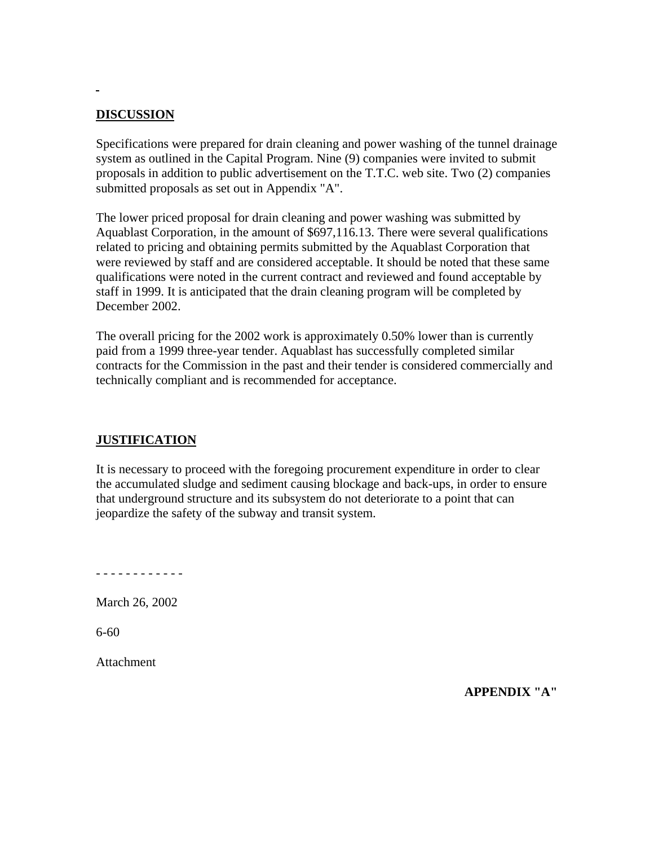#### **DISCUSSION**

Specifications were prepared for drain cleaning and power washing of the tunnel drainage system as outlined in the Capital Program. Nine (9) companies were invited to submit proposals in addition to public advertisement on the T.T.C. web site. Two (2) companies submitted proposals as set out in Appendix "A".

The lower priced proposal for drain cleaning and power washing was submitted by Aquablast Corporation, in the amount of \$697,116.13. There were several qualifications related to pricing and obtaining permits submitted by the Aquablast Corporation that were reviewed by staff and are considered acceptable. It should be noted that these same qualifications were noted in the current contract and reviewed and found acceptable by staff in 1999. It is anticipated that the drain cleaning program will be completed by December 2002.

The overall pricing for the 2002 work is approximately 0.50% lower than is currently paid from a 1999 three-year tender. Aquablast has successfully completed similar contracts for the Commission in the past and their tender is considered commercially and technically compliant and is recommended for acceptance.

#### **JUSTIFICATION**

It is necessary to proceed with the foregoing procurement expenditure in order to clear the accumulated sludge and sediment causing blockage and back-ups, in order to ensure that underground structure and its subsystem do not deteriorate to a point that can jeopardize the safety of the subway and transit system.

- - - - - - - - - - - -

March 26, 2002

6-60

Attachment

**APPENDIX "A"**